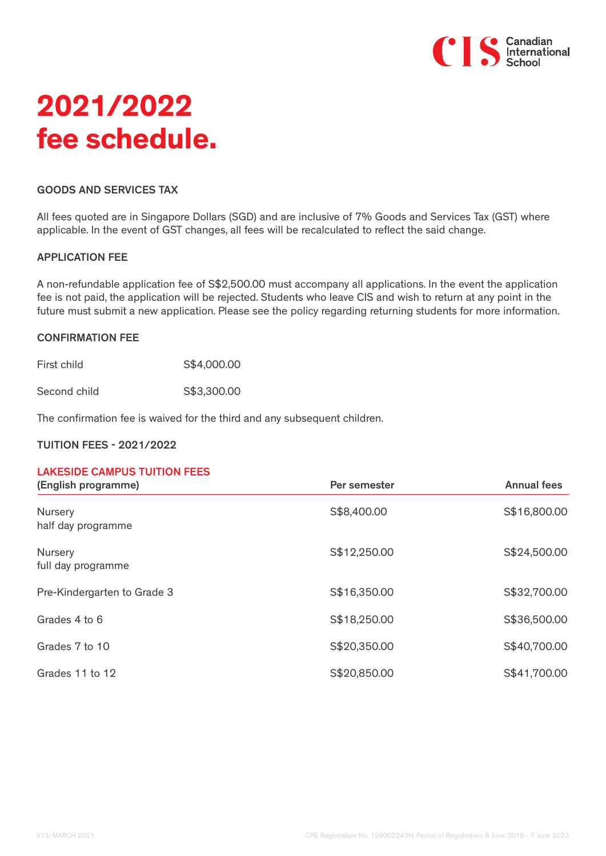

# **2021/2022 fee schedule.**

#### GOODS AND SERVICES TAX

All fees quoted are in Singapore Dollars (SGD) and are inclusive of 7% Goods and Services Tax (GST) where applicable. In the event of GST changes, all fees will be recalculated to reflect the said change.

#### APPLICATION FEE

A non-refundable application fee of S\$2,500.00 must accompany all applications. In the event the application fee is not paid, the application will be rejected. Students who leave CIS and wish to return at any point in the future must submit a new application. Please see the policy regarding returning students for more information.

#### CONFIRMATION FEE

First child S\$4,000.00

Second child 653,300.00

The confirmation fee is waived for the third and any subsequent children.

#### TUITION FEES - 2021/2022

# LAKESIDE CAMPUS TUITION FEES

| (English programme)                  | Per semester | <b>Annual fees</b> |
|--------------------------------------|--------------|--------------------|
| <b>Nursery</b><br>half day programme | S\$8,400.00  | S\$16,800.00       |
| Nursery<br>full day programme        | S\$12,250.00 | S\$24,500.00       |
| Pre-Kindergarten to Grade 3          | S\$16,350.00 | S\$32,700.00       |
| Grades 4 to 6                        | S\$18,250.00 | S\$36,500.00       |
| Grades 7 to 10                       | S\$20,350.00 | S\$40,700.00       |
| Grades 11 to 12                      | S\$20,850.00 | S\$41,700.00       |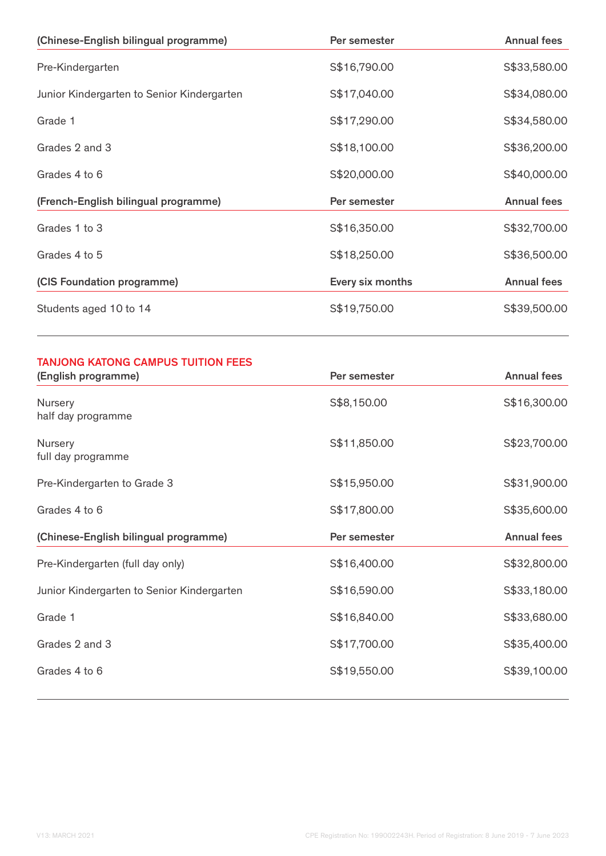| (Chinese-English bilingual programme)      | Per semester     | <b>Annual fees</b> |
|--------------------------------------------|------------------|--------------------|
| Pre-Kindergarten                           | S\$16,790.00     | S\$33,580.00       |
| Junior Kindergarten to Senior Kindergarten | S\$17,040.00     | S\$34,080.00       |
| Grade 1                                    | S\$17,290.00     | S\$34,580.00       |
| Grades 2 and 3                             | S\$18,100.00     | S\$36,200.00       |
| Grades 4 to 6                              | S\$20,000.00     | S\$40,000.00       |
| (French-English bilingual programme)       | Per semester     | <b>Annual fees</b> |
| Grades 1 to 3                              | S\$16,350.00     | S\$32,700.00       |
| Grades 4 to 5                              | S\$18,250.00     | S\$36,500.00       |
| (CIS Foundation programme)                 | Every six months | <b>Annual fees</b> |
| Students aged 10 to 14                     | S\$19,750.00     | S\$39,500.00       |

## TANJONG KATONG CAMPUS TUITION FEES

| Per semester | <b>Annual fees</b> |
|--------------|--------------------|
| S\$8,150.00  | S\$16,300.00       |
| S\$11,850.00 | S\$23,700.00       |
| S\$15,950.00 | S\$31,900.00       |
| S\$17,800.00 | S\$35,600.00       |
|              |                    |
| Per semester | <b>Annual fees</b> |
| S\$16,400.00 | S\$32,800.00       |
| S\$16,590.00 | S\$33,180.00       |
| S\$16,840.00 | S\$33,680.00       |
| S\$17,700.00 | S\$35,400.00       |
|              |                    |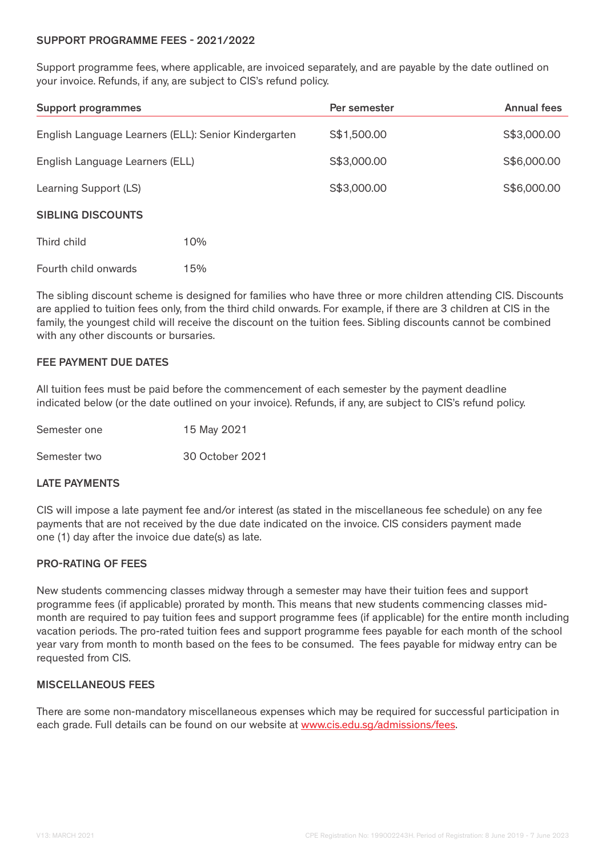#### SUPPORT PROGRAMME FEES - 2021/2022

Support programme fees, where applicable, are invoiced separately, and are payable by the date outlined on your invoice. Refunds, if any, are subject to CIS's refund policy.

| <b>Support programmes</b>                            |     | Per semester | <b>Annual fees</b> |
|------------------------------------------------------|-----|--------------|--------------------|
| English Language Learners (ELL): Senior Kindergarten |     | S\$1,500.00  | S\$3,000.00        |
| English Language Learners (ELL)                      |     | S\$3,000.00  | S\$6,000.00        |
| Learning Support (LS)                                |     | S\$3,000.00  | S\$6,000.00        |
| <b>SIBLING DISCOUNTS</b>                             |     |              |                    |
| Third child                                          | 10% |              |                    |
| Fourth child onwards                                 | 15% |              |                    |

The sibling discount scheme is designed for families who have three or more children attending CIS. Discounts are applied to tuition fees only, from the third child onwards. For example, if there are 3 children at CIS in the family, the youngest child will receive the discount on the tuition fees. Sibling discounts cannot be combined with any other discounts or bursaries.

## FEE PAYMENT DUE DATES

All tuition fees must be paid before the commencement of each semester by the payment deadline indicated below (or the date outlined on your invoice). Refunds, if any, are subject to CIS's refund policy.

| Semester one | 15 May 2021     |  |
|--------------|-----------------|--|
| Semester two | 30 October 2021 |  |

#### LATE PAYMENTS

CIS will impose a late payment fee and/or interest (as stated in the miscellaneous fee schedule) on any fee payments that are not received by the due date indicated on the invoice. CIS considers payment made one (1) day after the invoice due date(s) as late.

#### PRO-RATING OF FEES

New students commencing classes midway through a semester may have their tuition fees and support programme fees (if applicable) prorated by month. This means that new students commencing classes midmonth are required to pay tuition fees and support programme fees (if applicable) for the entire month including vacation periods. The pro-rated tuition fees and support programme fees payable for each month of the school year vary from month to month based on the fees to be consumed. The fees payable for midway entry can be requested from CIS.

#### MISCELLANEOUS FEES

There are some non-mandatory miscellaneous expenses which may be required for successful participation in each grade. Full details can be found on our website at www.cis.edu.sg/admissions/fees.